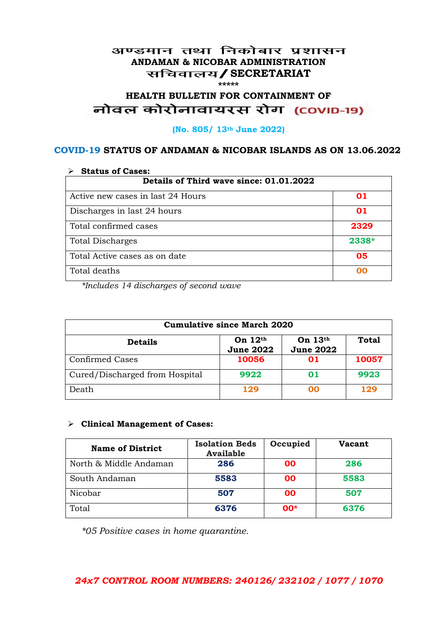#### अण्डमान तथा निकोबार प्रशासन **ANDAMAN & NICOBAR ADMINISTRATION /SECRETARIAT \*\*\*\*\***

# HEALTH BULLETIN FOR CONTAINMENT OF<br>बोवल कोरोनावायरस रोग (COVID-19)

#### **(No. 805/ 13th June 2022)**

#### **COVID-19 STATUS OF ANDAMAN & NICOBAR ISLANDS AS ON 13.06.2022**

| <b>Status of Cases:</b>                 |       |  |
|-----------------------------------------|-------|--|
| Details of Third wave since: 01.01.2022 |       |  |
| Active new cases in last 24 Hours       | 01    |  |
| Discharges in last 24 hours             | 01    |  |
| Total confirmed cases                   | 2329  |  |
| <b>Total Discharges</b>                 | 2338* |  |
| Total Active cases as on date           | 05    |  |
| Total deaths                            | OO.   |  |

*\*Includes 14 discharges of second wave*

| <b>Cumulative since March 2020</b> |                               |                               |              |
|------------------------------------|-------------------------------|-------------------------------|--------------|
| <b>Details</b>                     | On $12th$<br><b>June 2022</b> | On $13th$<br><b>June 2022</b> | <b>Total</b> |
| <b>Confirmed Cases</b>             | 10056                         | 01                            | 10057        |
| Cured/Discharged from Hospital     | 9922                          | 01                            | 9923         |
| Death                              | 129                           | ററ                            | 129          |

#### **Clinical Management of Cases:**

| <b>Name of District</b> | <b>Isolation Beds</b><br><b>Available</b> | Occupied | <b>Vacant</b> |
|-------------------------|-------------------------------------------|----------|---------------|
| North & Middle Andaman  | 286                                       | 00       | 286           |
| South Andaman           | 5583                                      | 00       | 5583          |
| Nicobar                 | 507                                       | 00       | 507           |
| Total                   | 6376                                      | $00*$    | 6376          |

*\*05 Positive cases in home quarantine.*

### *24x7 CONTROL ROOM NUMBERS: 240126/ 232102 / 1077 / 1070*